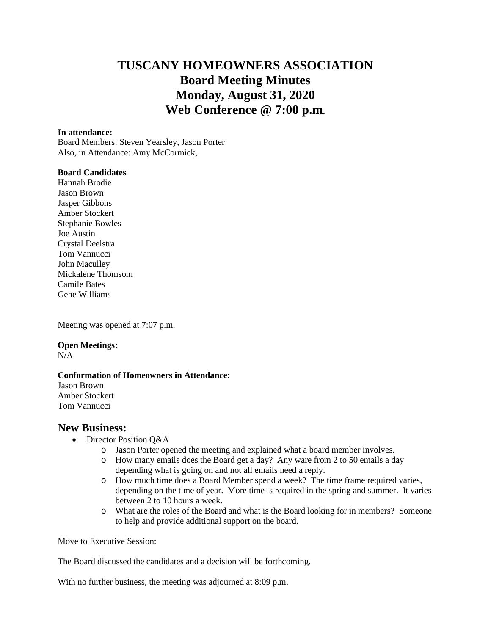# **TUSCANY HOMEOWNERS ASSOCIATION Board Meeting Minutes Monday, August 31, 2020 Web Conference @ 7:00 p.m.**

#### **In attendance:**

Board Members: Steven Yearsley, Jason Porter Also, in Attendance: Amy McCormick,

### **Board Candidates**

Hannah Brodie Jason Brown Jasper Gibbons Amber Stockert Stephanie Bowles Joe Austin Crystal Deelstra Tom Vannucci John Maculley Mickalene Thomsom Camile Bates Gene Williams

Meeting was opened at 7:07 p.m.

#### **Open Meetings:**

 $N/A$ 

#### **Conformation of Homeowners in Attendance:**

Jason Brown Amber Stockert Tom Vannucci

## **New Business:**

- Director Position O&A
	- o Jason Porter opened the meeting and explained what a board member involves.
	- o How many emails does the Board get a day? Any ware from 2 to 50 emails a day depending what is going on and not all emails need a reply.
	- o How much time does a Board Member spend a week? The time frame required varies, depending on the time of year. More time is required in the spring and summer. It varies between 2 to 10 hours a week.
	- o What are the roles of the Board and what is the Board looking for in members? Someone to help and provide additional support on the board.

Move to Executive Session:

The Board discussed the candidates and a decision will be forthcoming.

With no further business, the meeting was adjourned at 8:09 p.m.